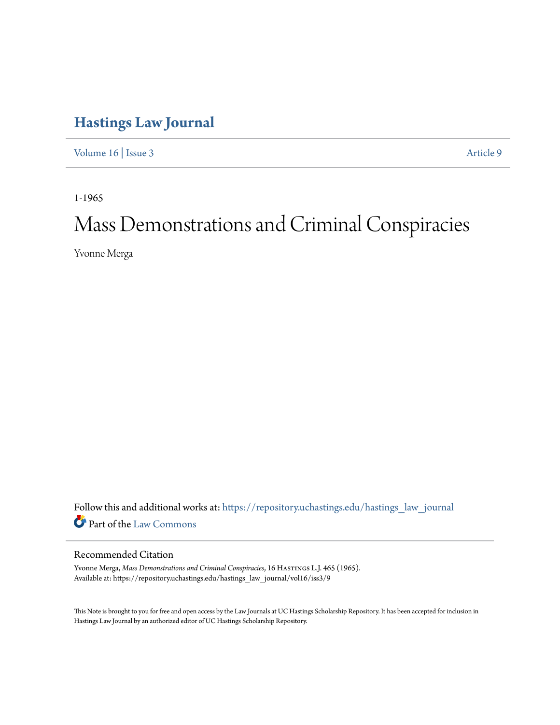## **[Hastings Law Journal](https://repository.uchastings.edu/hastings_law_journal?utm_source=repository.uchastings.edu%2Fhastings_law_journal%2Fvol16%2Fiss3%2F9&utm_medium=PDF&utm_campaign=PDFCoverPages)**

[Volume 16](https://repository.uchastings.edu/hastings_law_journal/vol16?utm_source=repository.uchastings.edu%2Fhastings_law_journal%2Fvol16%2Fiss3%2F9&utm_medium=PDF&utm_campaign=PDFCoverPages) | [Issue 3](https://repository.uchastings.edu/hastings_law_journal/vol16/iss3?utm_source=repository.uchastings.edu%2Fhastings_law_journal%2Fvol16%2Fiss3%2F9&utm_medium=PDF&utm_campaign=PDFCoverPages) [Article 9](https://repository.uchastings.edu/hastings_law_journal/vol16/iss3/9?utm_source=repository.uchastings.edu%2Fhastings_law_journal%2Fvol16%2Fiss3%2F9&utm_medium=PDF&utm_campaign=PDFCoverPages)

1-1965

## Mass Demonstrations and Criminal Conspiracies

Yvonne Merga

Follow this and additional works at: [https://repository.uchastings.edu/hastings\\_law\\_journal](https://repository.uchastings.edu/hastings_law_journal?utm_source=repository.uchastings.edu%2Fhastings_law_journal%2Fvol16%2Fiss3%2F9&utm_medium=PDF&utm_campaign=PDFCoverPages) Part of the [Law Commons](http://network.bepress.com/hgg/discipline/578?utm_source=repository.uchastings.edu%2Fhastings_law_journal%2Fvol16%2Fiss3%2F9&utm_medium=PDF&utm_campaign=PDFCoverPages)

## Recommended Citation

Yvonne Merga, *Mass Demonstrations and Criminal Conspiracies*, 16 HASTINGS L.J. 465 (1965). Available at: https://repository.uchastings.edu/hastings\_law\_journal/vol16/iss3/9

This Note is brought to you for free and open access by the Law Journals at UC Hastings Scholarship Repository. It has been accepted for inclusion in Hastings Law Journal by an authorized editor of UC Hastings Scholarship Repository.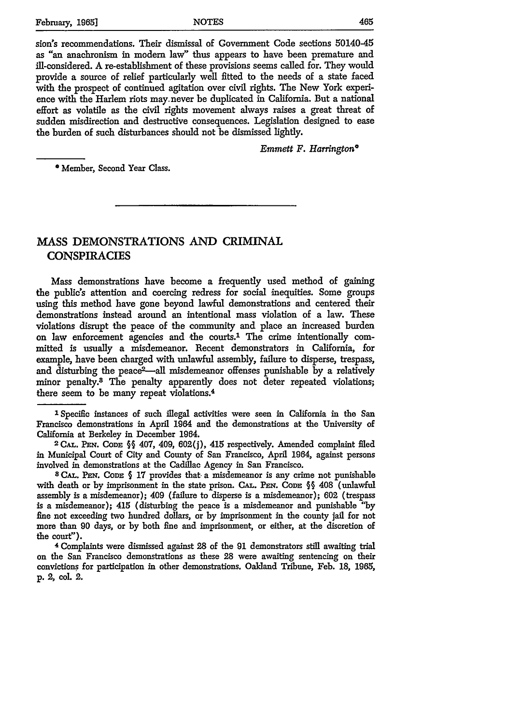sion's recommendations. Their dismissal of Government Code sections 50140-45 as "an anachronism in modem law" thus appears to have been premature and ill-considered. **A** re-establishment of these provisions seems called for. They would provide a source of relief particularly well fitted to the needs of a state faced with the prospect of continued agitation over civil rights. The New York experience with the Harlem riots may.never be duplicated in California. But a national effort as volatile as the civil rights movement always raises a great threat of sudden misdirection and destructive consequences. Legislation designed to ease the burden of such disturbances should not be dismissed lightly.

*Emmett F. Harrington\**

\*Member, Second Year Class.

## **MASS** DEMONSTRATIONS **AND** CRIMINAL **CONSPIRACIES**

Mass demonstrations have become a frequently used method of gaining the public's attention and coercing redress for social inequities. Some groups using this method have gone beyond lawful demonstrations and centered their demonstrations instead around an intentional mass violation of a law. These violations disrupt the peace of the community and place an increased burden on law enforcement agencies and the courts.' The crime intentionally committed is usually a misdemeanor. Recent demonstrators in California, for example, have been charged with unlawful assembly, failure to disperse, trespass, and disturbing the peace<sup>2</sup>--all misdemeanor offenses punishable by a relatively minor penalty.<sup>3</sup> The penalty apparently does not deter repeated violations; there seem to be many repeat violations. <sup>4</sup>

' Specific instances of such illegal activities were seen in California in the San Francisco demonstrations in April 1964 and the demonstrations at the University of California at Berkeley in December 1964.

**2 CAL. PF\_. CODE** §§ 407, 409, **602(j),** 415 respectively. Amended complaint filed in Municipal Court of City and County of San Francisco, April 1964, against persons

involved in demonstrations at the Cadillac Agency in San Francisco.<br><sup>8</sup> CAL. PEN. CODE § 17 provides that a misdemeanor is any crime not punishable with death or by imprisonment in the state prison. **CAL. PEN. CODE** §§ 408 (unlawful assembly is a misdemeanor); 409 (failure to disperse is a misdemeanor); **602** (trespass is a misdemeanor); 415 (disturbing the peace is a misdemeanor and punishable **"by** fine not exceeding two hundred dollars, or **by** imprisonment in the county jail for not more than 90 days, or **by** both fine and imprisonment, or either, at the discretion of the court").

**4** Complaints were dismissed against **28** of the **91** demonstrators still awaiting trial on the San Francisco demonstrations as these **28** were awaiting sentencing on their convictions for participation in other demonstrations. Oakland Tribune, Feb. **18, 1965, p.** 2, col. 2.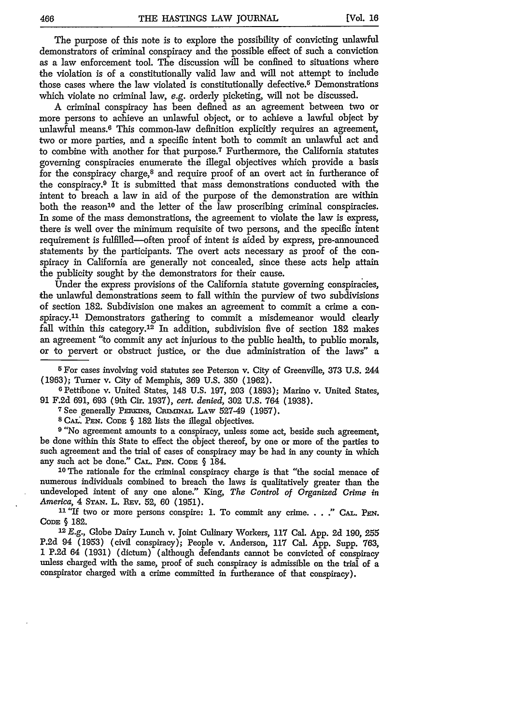The purpose of this note is to explore the possibility of convicting unlawful demonstrators of criminal conspiracy and the possible effect of such a conviction as a law enforcement tool. The discussion will be confined to situations where the violation is of a constitutionally valid law and will not attempt to include those cases where the law violated is constitutionally defective.5 Demonstrations which violate no criminal law, e.g. orderly picketing, will not be discussed.

A criminal conspiracy has been defined as an agreement between two or more persons to achieve an unlawful object, or to achieve a lawful object by unlawful means.6 This common-law definition explicitly requires an agreement, two or more parties, and a specific intent both to commit an unlawful act and to combine with another for that purpose.7 Furthermore, the California statutes governing conspiracies enumerate the illegal objectives which provide a basis for the conspiracy charge,8 and require proof of an overt act in furtherance of the conspiracy. 9 It is submitted that mass demonstrations conducted with the intent to breach a law in aid of the purpose of the demonstration are within both the reason<sup>10</sup> and the letter of the law proscribing criminal conspiracies. In some of the mass demonstrations, the agreement to violate the law is express, there is well over the minimum requisite of two persons, and the specific intent requirement is fulfilled-often proof of intent is aided by express, pre-announced statements by the participants. The overt acts necessary as proof of the conspiracy in California are generally not concealed, since these acts help attain the publicity sought by the demonstrators for their cause.

Under the express provisions of the California statute governing conspiracies, the unlawful demonstrations seem to fall within the purview of two subdivisions of section 182. Subdivision one makes an agreement to commit a crime a conspiracy. 11 Demonstrators gathering to commit a misdemeanor would clearly fall within this category.12 In addition, subdivision five of section **182** makes an agreement '"to commit any act injurious to the public health, to public morals, or to pervert or obstruct justice, or the due administration of the laws" a

**5 For** cases involving void statutes see Peterson v. City of Greenville, 373 U.S. 244 (1963); Turner v. City of Memphis, 369 U.S. 350 (1962). <sup>6</sup> Pettibone v. United States, 148 U.S. 197, **203** (1893); Marino v. United States,

91 F.2d 691, 693 (9th Cir. 1937), *cert. denied,* **302** U.S. 764 (1938).

<sup>7</sup> See generally PERKINS, CRIMINAL LAW 527-49 (1957).

**8 CAL'. PEN. CODE** § **182** lists the illegal objectives.

**<sup>9</sup>**"No agreement amounts to a conspiracy, unless some act, beside such agreement, be done within this State to effect the object thereof, by one or more of the parties to such agreement and the trial of cases of conspiracy may be had in any county in which any such act be done." **CAL. PEN. CODE** § 184.

**<sup>10</sup>**The rationale for the criminal conspiracy charge is that "the social menace of numerous individuals combined to breach the laws is qualitatively greater than the undeveloped intent of any one alone." King, *The Control of Organized Grime in America,* 4 **STAN.** L. **REv. 52,** 60 (1951).

**<sup>11</sup>**"If two or more persons conspire: **1.** To commit any crime...." **CAL. PEN.** CODE § **182.**

<sup>12</sup>*E.g.,* Globe Dairy Lunch v. Joint Culinary Workers, **117** Cal. App. **2d** 190, **255 P.2d** 94 **(1953)** (civil conspiracy); People v. Anderson, **117** Cal. App. Supp. 763, **1** P.2d 64 (1931) (dictum) (although defendants cannot be convicted of conspiracy unless charged with the same, proof of such conspiracy is admissible on the trial of a conspirator charged with a crime committed in furtherance of that conspiracy).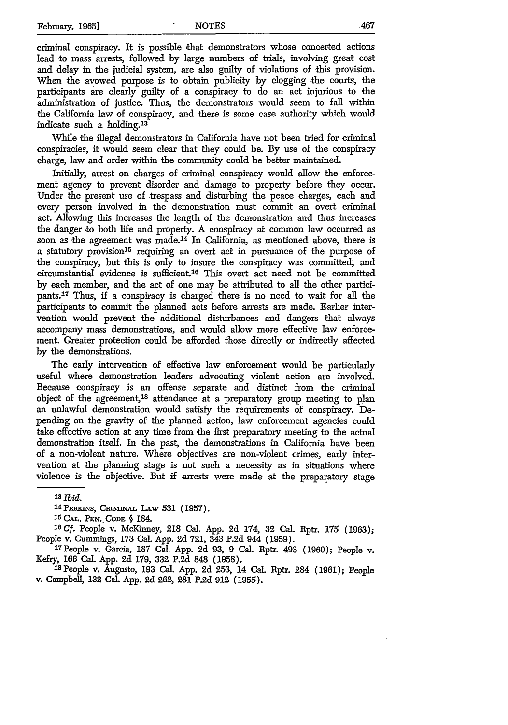criminal conspiracy. It is possible that demonstrators whose concerted actions lead to mass arrests, followed by large numbers of trials, involving great cost and delay in the judicial system, are also guilty of violations of this provision. When the avowed purpose is to obtain publicity by clogging the courts, the participants are clearly guilty of a conspiracy to do an act injurious to the administration of justice. Thus, the demonstrators would seem to fall within the California law of conspiracy, and there is some case authority which would indicate such a holding.<sup>13</sup>

While the illegal demonstrators in California have not been tried for criminal conspiracies, it would seem clear that they could be. By use of the conspiracy charge, law and order within the community could be better maintained.

Initially, arrest on charges of criminal conspiracy would allow the enforcement agency to prevent disorder and damage to property before they occur. Under the present use of trespass and disturbing the peace charges, each and every person involved in the demonstration must commit an overt criminal act. Allowing this increases the length of the demonstration and thus increases the danger to both life and property. A conspiracy at common law occurred as soon as the agreement was made.14 In California, as mentioned above, there is a statutory provision<sup>15</sup> requiring an overt act in pursuance of the purpose of the conspiracy, but this is only to insure the conspiracy was committed, and circumstantial evidence is sufficient.16 This overt act need not be committed by each member, and the act of one may be attributed to all the other participants.<sup>17</sup> Thus, if a conspiracy is charged there is no need to wait for all the participants to commit the planned acts before arrests are made. Earlier intervention would prevent the additional disturbances and dangers that always accompany mass demonstrations, and would allow more effective law enforcement. Greater protection could be afforded those directly or indirectly affected by the demonstrations.

The early intervention of effective law enforcement would be particularly useful where demonstration leaders advocating violent action are involved. Because conspiracy is an offense separate and distinct from the criminal object of the agreement,<sup>18</sup> attendance at a preparatory group meeting to plan an unlawful demonstration would satisfy the requirements of conspiracy. Depending on the gravity of the planned action, law enforcement agencies could take effective action at any time from the first preparatory meeting to the actual demonstration itself. In the past, the demonstrations in California have been of a non-violent nature. Where objectives are non-violent crimes, early intervention at the planning stage is not such a necessity as in situations where violence is the objective. But if arrests were made at the preparatory stage

*<sup>&#</sup>x27;3 Tbid.*

<sup>14</sup> PERKINS, CRIMINAL LAW 531 (1957).

<sup>15</sup>**CAL.** Px.. **CODE §** 184.

*t6Cf.* People v. McKinney, **218** Cal. App. **2d** 174, **32** Cal. Rptr. **175 (1963);** People v. Cummings, **173** Cal. App. **2d** 721, 343 P.2d 944 (1959). 17People v. Garcia, **187** Cal. **App.** 2d 93, 9 Cal. Rptr. 493 **(1960);** People v.

Kefry, **166** Cal. App. 2d 179, **332** P.2d **848** (1958).

**<sup>18</sup>**People v. Augusto, **193** Cal. **App. 2d** 253, 14 Cal. Rptr. 284 **(1961);** People v. Campbell, **132** Cal. **App. 2d 262, 281 P.2d 912 (1955).**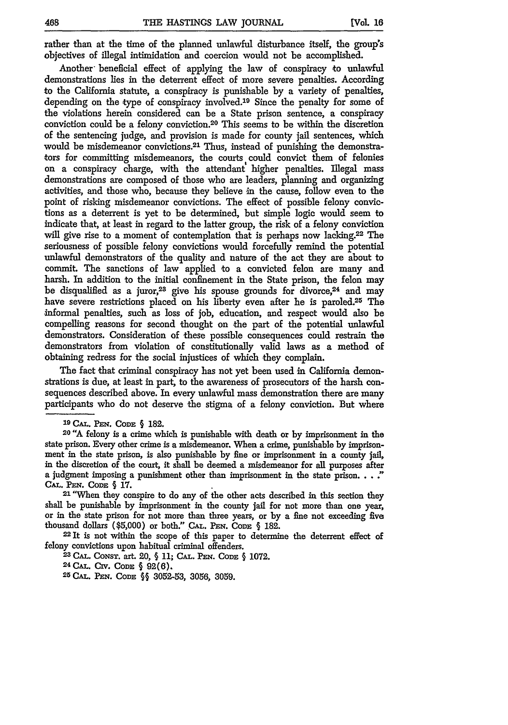rather than at the time of the planned unlawful disturbance itself, the group's objectives of illegal intimidation and coercion would not be accomplished.

Another beneficial effect of applying the law of conspiracy to unlawful demonstrations lies in the deterrent effect of more severe penalties. According to the California statute, a conspiracy is punishable **by** a variety of penalties, depending on the type of conspiracy involved.<sup>19</sup> Since the penalty for some of the violations herein considered can be a State prison sentence, a conspiracy conviction could be a felony conviction. 20 This seems to be within the discretion of the sentencing judge, and provision is made for county jail sentences, which would be misdemeanor convictions.<sup>21</sup> Thus, instead of punishing the demonstrators for committing misdemeanors, the courts could convict them of felonies on a conspiracy charge, with the attendant higher penalties. Illegal mass demonstrations are composed of those who are leaders, planning and organizing activities, and those who, because they believe in the cause, follow even to the point of risking misdemeanor convictions. The effect of possible felony convictions as a deterrent is yet to be determined, but simple logic would seem to indicate that, at least in regard to the latter group, the risk of a felony conviction will give rise to a moment of contemplation that is perhaps now lacking.22 The seriousness of possible felony convictions would forcefully remind the potential unlawful demonstrators of the quality and nature of the act they are about to commit. The sanctions of law applied to a convicted felon are many and harsh. In addition to the initial confinement in the State prison, the felon may be disqualified as a juror,<sup>23</sup> give his spouse grounds for divorce, $24$  and may have severe restrictions placed on his liberty even after he is paroled.<sup>25</sup> The informal penalties, such as loss of job, education, and respect would also be compelling reasons for second thought on the part of the potential unlawful demonstrators. Consideration of these possible consequences could restrain the demonstrators from violation of constitutionally valid laws as a method of obtaining redress for the social injustices of which they complain.

The fact that criminal conspiracy has not yet been used in California demonstrations is due, at least in part, to the awareness of prosecutors of the harsh consequences described above. In every unlawful mass demonstration there are many participants who do not deserve the stigma of a felony conviction. But where

<sup>21</sup> "When they conspire to do any of the other acts described in this section they shall be punishable **by** imprisonment in the county jail for not more than one year, or in the state prison for not more than three years, or by a fine not exceeding five thousand dollars (\$5,000) or both." CAL. PEN. CODE § 182.

**<sup>22</sup>**It is not within the scope of this paper to determine the deterrent effect of felony convictions upon habitual criminal offenders. **<sup>23</sup> CAL. CONST.** art. 20, § **11; CAL. PEN.** CoDE: § **1072.**

**<sup>24</sup> CAL. Crv. CoDE** § **92(6).**

**25 CAL. PEN. CODE** §§ 3052-53, **3056, 3059.**

**<sup>19</sup> CAL. PEN. CoDE** § **182.**

**<sup>20 &</sup>quot;A** felony is a crime which is punishable with death or by imprisonment in the state prison. Every other crime is a misdemeanor. When a crime, punishable **by** imprisonment in the state prison, is also punishable **by** fine or imprisonment in a county jail, in the discretion of the court, it shall be deemed a misdemeanor for all purposes after a judgment imposing a punishment other than imprisonment in the state prison...." **CAL.** *Pm.* **CODE § 17.**